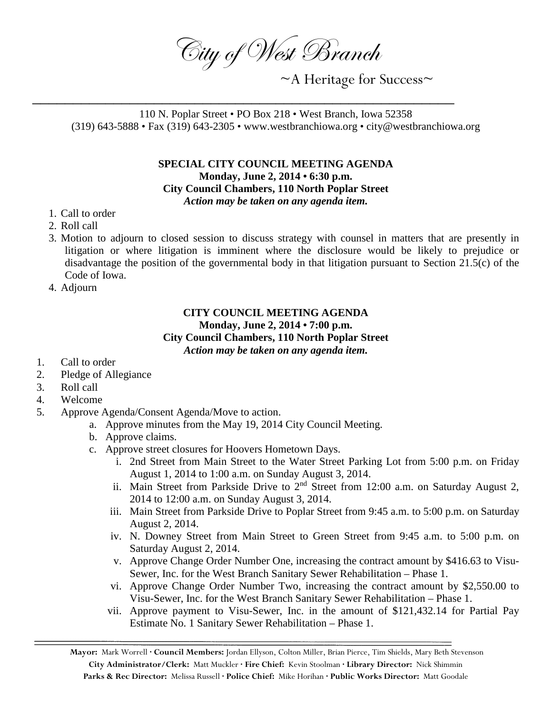City of West Branch

~A Heritage for Success~

110 N. Poplar Street • PO Box 218 • West Branch, Iowa 52358 (319) 643-5888 • Fax (319) 643-2305 • www.westbranchiowa.org • city@westbranchiowa.org

\_\_\_\_\_\_\_\_\_\_\_\_\_\_\_\_\_\_\_\_\_\_\_\_\_\_\_\_\_\_\_\_\_\_\_\_\_\_\_\_\_\_\_\_\_\_\_\_\_\_\_\_

## **SPECIAL CITY COUNCIL MEETING AGENDA Monday, June 2, 2014 • 6:30 p.m. City Council Chambers, 110 North Poplar Street** *Action may be taken on any agenda item.*

- 1. Call to order
- 2. Roll call
- 3. Motion to adjourn to closed session to discuss strategy with counsel in matters that are presently in litigation or where litigation is imminent where the disclosure would be likely to prejudice or disadvantage the position of the governmental body in that litigation pursuant to Section 21.5(c) of the Code of Iowa.
- 4. Adjourn

## **CITY COUNCIL MEETING AGENDA Monday, June 2, 2014 • 7:00 p.m. City Council Chambers, 110 North Poplar Street** *Action may be taken on any agenda item.*

- 1. Call to order
- 2. Pledge of Allegiance
- 3. Roll call
- 4. Welcome
- 5. Approve Agenda/Consent Agenda/Move to action.
	- a. Approve minutes from the May 19, 2014 City Council Meeting.
	- b. Approve claims.
	- c. Approve street closures for Hoovers Hometown Days.
		- i. 2nd Street from Main Street to the Water Street Parking Lot from 5:00 p.m. on Friday August 1, 2014 to 1:00 a.m. on Sunday August 3, 2014.
		- ii. Main Street from Parkside Drive to  $2<sup>nd</sup>$  Street from 12:00 a.m. on Saturday August 2, 2014 to 12:00 a.m. on Sunday August 3, 2014.
		- iii. Main Street from Parkside Drive to Poplar Street from 9:45 a.m. to 5:00 p.m. on Saturday August 2, 2014.
		- iv. N. Downey Street from Main Street to Green Street from 9:45 a.m. to 5:00 p.m. on Saturday August 2, 2014.
		- v. Approve Change Order Number One, increasing the contract amount by \$416.63 to Visu-Sewer, Inc. for the West Branch Sanitary Sewer Rehabilitation – Phase 1.
		- vi. Approve Change Order Number Two, increasing the contract amount by \$2,550.00 to Visu-Sewer, Inc. for the West Branch Sanitary Sewer Rehabilitation – Phase 1.
		- vii. Approve payment to Visu-Sewer, Inc. in the amount of \$121,432.14 for Partial Pay Estimate No. 1 Sanitary Sewer Rehabilitation – Phase 1.

**Mayor:** Mark Worrell **· Council Members:** Jordan Ellyson, Colton Miller, Brian Pierce, Tim Shields, Mary Beth Stevenson **City Administrator/Clerk:** Matt Muckler **· Fire Chief:** Kevin Stoolman **· Library Director:** Nick Shimmin **Parks & Rec Director:** Melissa Russell **· Police Chief:** Mike Horihan **· Public Works Director:** Matt Goodale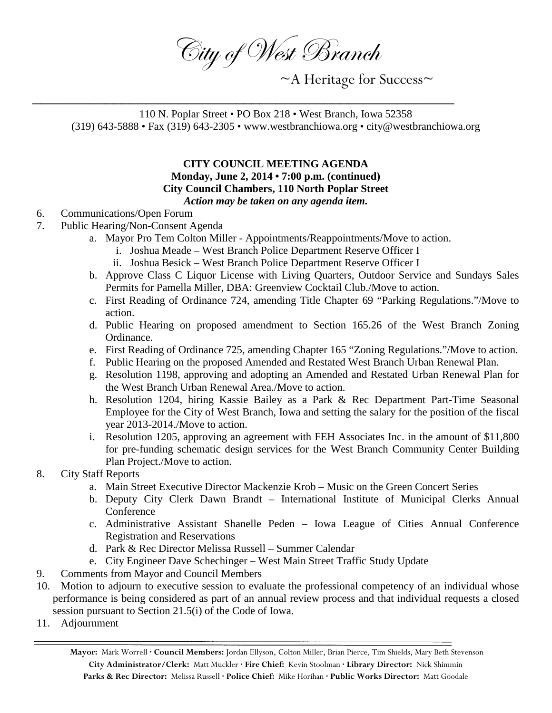City of West Branch

~A Heritage for Success~

110 N. Poplar Street • PO Box 218 • West Branch, Iowa 52358 (319) 643-5888 • Fax (319) 643-2305 • www.westbranchiowa.org • city@westbranchiowa.org

\_\_\_\_\_\_\_\_\_\_\_\_\_\_\_\_\_\_\_\_\_\_\_\_\_\_\_\_\_\_\_\_\_\_\_\_\_\_\_\_\_\_\_\_\_\_\_\_\_\_\_\_

## **CITY COUNCIL MEETING AGENDA Monday, June 2, 2014 • 7:00 p.m. (continued) City Council Chambers, 110 North Poplar Street** *Action may be taken on any agenda item.*

- 6. Communications/Open Forum
- 7. Public Hearing/Non-Consent Agenda
	- a. Mayor Pro Tem Colton Miller Appointments/Reappointments/Move to action.
		- i. Joshua Meade West Branch Police Department Reserve Officer I
		- ii. Joshua Besick West Branch Police Department Reserve Officer I
	- b. Approve Class C Liquor License with Living Quarters, Outdoor Service and Sundays Sales Permits for Pamella Miller, DBA: Greenview Cocktail Club./Move to action.
	- c. First Reading of Ordinance 724, amending Title Chapter 69 "Parking Regulations."/Move to action.
	- d. Public Hearing on proposed amendment to Section 165.26 of the West Branch Zoning Ordinance.
	- e. First Reading of Ordinance 725, amending Chapter 165 "Zoning Regulations."/Move to action.
	- f. Public Hearing on the proposed Amended and Restated West Branch Urban Renewal Plan.
	- g. Resolution 1198, approving and adopting an Amended and Restated Urban Renewal Plan for the West Branch Urban Renewal Area./Move to action.
	- h. Resolution 1204, hiring Kassie Bailey as a Park & Rec Department Part-Time Seasonal Employee for the City of West Branch, Iowa and setting the salary for the position of the fiscal year 2013-2014./Move to action.
	- i. Resolution 1205, approving an agreement with FEH Associates Inc. in the amount of \$11,800 for pre-funding schematic design services for the West Branch Community Center Building Plan Project./Move to action.
- 8. City Staff Reports
	- a. Main Street Executive Director Mackenzie Krob Music on the Green Concert Series
	- b. Deputy City Clerk Dawn Brandt International Institute of Municipal Clerks Annual **Conference**
	- c. Administrative Assistant Shanelle Peden Iowa League of Cities Annual Conference Registration and Reservations
	- d. Park & Rec Director Melissa Russell Summer Calendar
	- e. City Engineer Dave Schechinger West Main Street Traffic Study Update
- 9. Comments from Mayor and Council Members
- 10. Motion to adjourn to executive session to evaluate the professional competency of an individual whose performance is being considered as part of an annual review process and that individual requests a closed session pursuant to Section 21.5(i) of the Code of Iowa.
- 11. Adjournment

**Mayor:** Mark Worrell **· Council Members:** Jordan Ellyson, Colton Miller, Brian Pierce, Tim Shields, Mary Beth Stevenson **City Administrator/Clerk:** Matt Muckler **· Fire Chief:** Kevin Stoolman **· Library Director:** Nick Shimmin **Parks & Rec Director:** Melissa Russell **· Police Chief:** Mike Horihan **· Public Works Director:** Matt Goodale